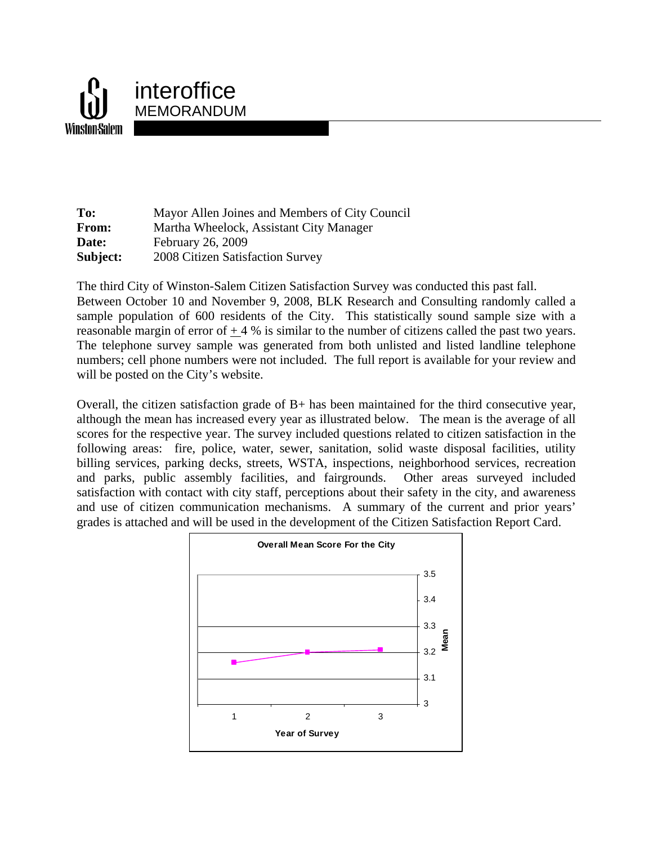

**To:** Mayor Allen Joines and Members of City Council **From:** Martha Wheelock, Assistant City Manager **Date: February 26, 2009 Subject:** 2008 Citizen Satisfaction Survey

The third City of Winston-Salem Citizen Satisfaction Survey was conducted this past fall. Between October 10 and November 9, 2008, BLK Research and Consulting randomly called a sample population of 600 residents of the City. This statistically sound sample size with a reasonable margin of error of  $+4%$  is similar to the number of citizens called the past two years. The telephone survey sample was generated from both unlisted and listed landline telephone numbers; cell phone numbers were not included. The full report is available for your review and will be posted on the City's website.

Overall, the citizen satisfaction grade of B+ has been maintained for the third consecutive year, although the mean has increased every year as illustrated below. The mean is the average of all scores for the respective year. The survey included questions related to citizen satisfaction in the following areas: fire, police, water, sewer, sanitation, solid waste disposal facilities, utility billing services, parking decks, streets, WSTA, inspections, neighborhood services, recreation and parks, public assembly facilities, and fairgrounds. Other areas surveyed included satisfaction with contact with city staff, perceptions about their safety in the city, and awareness and use of citizen communication mechanisms. A summary of the current and prior years' grades is attached and will be used in the development of the Citizen Satisfaction Report Card.

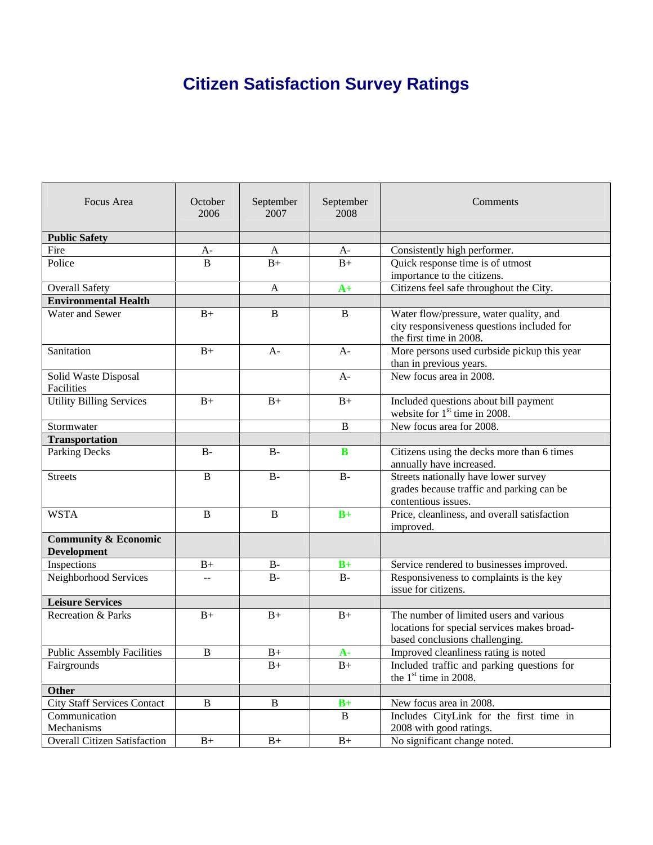## **Citizen Satisfaction Survey Ratings**

| Focus Area                          | October<br>2006 | September<br>2007 | September<br>2008 | Comments                                                              |
|-------------------------------------|-----------------|-------------------|-------------------|-----------------------------------------------------------------------|
| <b>Public Safety</b>                |                 |                   |                   |                                                                       |
| Fire                                | $A-$            | A                 | $A-$              | Consistently high performer.                                          |
| Police                              | $\overline{B}$  | $B+$              | $B+$              | Quick response time is of utmost                                      |
|                                     |                 |                   |                   | importance to the citizens.                                           |
| <b>Overall Safety</b>               |                 | A                 | $A+$              | Citizens feel safe throughout the City.                               |
| <b>Environmental Health</b>         |                 |                   |                   |                                                                       |
| Water and Sewer                     | $B+$            | B                 | B                 | Water flow/pressure, water quality, and                               |
|                                     |                 |                   |                   | city responsiveness questions included for<br>the first time in 2008. |
| Sanitation                          | $B+$            | $A -$             | $A-$              | More persons used curbside pickup this year                           |
|                                     |                 |                   |                   | than in previous years.                                               |
| Solid Waste Disposal                |                 |                   | $A-$              | New focus area in 2008.                                               |
| Facilities                          |                 |                   |                   |                                                                       |
| <b>Utility Billing Services</b>     | $B+$            | $B+$              | $B+$              | Included questions about bill payment                                 |
|                                     |                 |                   |                   | website for 1 <sup>st</sup> time in 2008.                             |
| Stormwater                          |                 |                   | B                 | New focus area for 2008.                                              |
| <b>Transportation</b>               |                 |                   |                   |                                                                       |
| Parking Decks                       | $B -$           | $B -$             | B                 | Citizens using the decks more than 6 times                            |
|                                     |                 |                   |                   | annually have increased.                                              |
| <b>Streets</b>                      | $\mathbf B$     | $B -$             | $B-$              | Streets nationally have lower survey                                  |
|                                     |                 |                   |                   | grades because traffic and parking can be                             |
|                                     |                 |                   |                   | contentious issues.                                                   |
| <b>WSTA</b>                         | B               | B                 | $B+$              | Price, cleanliness, and overall satisfaction                          |
|                                     |                 |                   |                   | improved.                                                             |
| <b>Community &amp; Economic</b>     |                 |                   |                   |                                                                       |
| <b>Development</b>                  |                 |                   |                   |                                                                       |
| Inspections                         | $B+$            | $B-$              | $B+$              | Service rendered to businesses improved.                              |
| Neighborhood Services               | $-$             | $B -$             | $B -$             | Responsiveness to complaints is the key                               |
|                                     |                 |                   |                   | issue for citizens.                                                   |
| <b>Leisure Services</b>             |                 |                   |                   |                                                                       |
| Recreation & Parks                  | $B+$            | $B+$              | $B+$              | The number of limited users and various                               |
|                                     |                 |                   |                   | locations for special services makes broad-                           |
|                                     |                 |                   |                   | based conclusions challenging.                                        |
| <b>Public Assembly Facilities</b>   | B               | $B+$              | $A -$             | Improved cleanliness rating is noted                                  |
| Fairgrounds                         |                 | $B+$              | $B+$              | Included traffic and parking questions for<br>the $1st$ time in 2008. |
| <b>Other</b>                        |                 |                   |                   |                                                                       |
| <b>City Staff Services Contact</b>  | $\, {\bf B}$    | $\, {\bf B}$      | $B+$              | New focus area in 2008.                                               |
| Communication                       |                 |                   | B                 | Includes CityLink for the first time in                               |
| Mechanisms                          |                 |                   |                   | 2008 with good ratings.                                               |
| <b>Overall Citizen Satisfaction</b> | $B+$            | $B+$              | $B+$              | No significant change noted.                                          |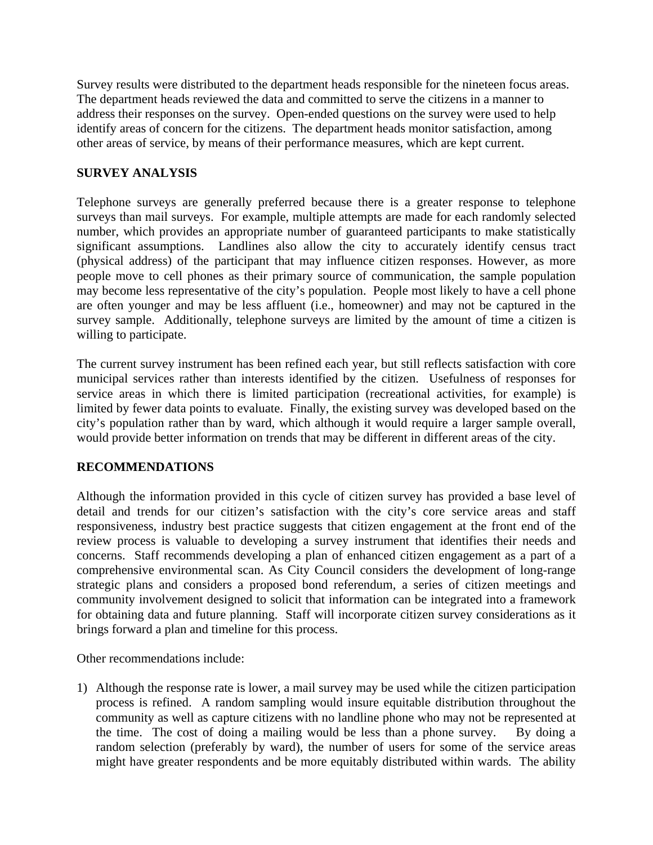Survey results were distributed to the department heads responsible for the nineteen focus areas. The department heads reviewed the data and committed to serve the citizens in a manner to address their responses on the survey. Open-ended questions on the survey were used to help identify areas of concern for the citizens. The department heads monitor satisfaction, among other areas of service, by means of their performance measures, which are kept current.

## **SURVEY ANALYSIS**

Telephone surveys are generally preferred because there is a greater response to telephone surveys than mail surveys. For example, multiple attempts are made for each randomly selected number, which provides an appropriate number of guaranteed participants to make statistically significant assumptions. Landlines also allow the city to accurately identify census tract (physical address) of the participant that may influence citizen responses. However, as more people move to cell phones as their primary source of communication, the sample population may become less representative of the city's population. People most likely to have a cell phone are often younger and may be less affluent (i.e., homeowner) and may not be captured in the survey sample. Additionally, telephone surveys are limited by the amount of time a citizen is willing to participate.

The current survey instrument has been refined each year, but still reflects satisfaction with core municipal services rather than interests identified by the citizen. Usefulness of responses for service areas in which there is limited participation (recreational activities, for example) is limited by fewer data points to evaluate. Finally, the existing survey was developed based on the city's population rather than by ward, which although it would require a larger sample overall, would provide better information on trends that may be different in different areas of the city.

## **RECOMMENDATIONS**

Although the information provided in this cycle of citizen survey has provided a base level of detail and trends for our citizen's satisfaction with the city's core service areas and staff responsiveness, industry best practice suggests that citizen engagement at the front end of the review process is valuable to developing a survey instrument that identifies their needs and concerns. Staff recommends developing a plan of enhanced citizen engagement as a part of a comprehensive environmental scan. As City Council considers the development of long-range strategic plans and considers a proposed bond referendum, a series of citizen meetings and community involvement designed to solicit that information can be integrated into a framework for obtaining data and future planning. Staff will incorporate citizen survey considerations as it brings forward a plan and timeline for this process.

Other recommendations include:

1) Although the response rate is lower, a mail survey may be used while the citizen participation process is refined. A random sampling would insure equitable distribution throughout the community as well as capture citizens with no landline phone who may not be represented at the time. The cost of doing a mailing would be less than a phone survey. By doing a random selection (preferably by ward), the number of users for some of the service areas might have greater respondents and be more equitably distributed within wards. The ability